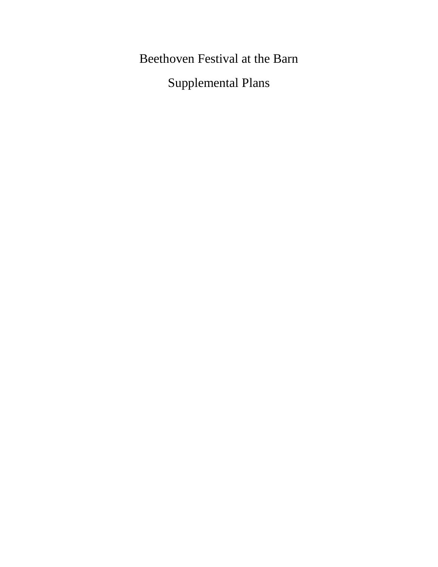Beethoven Festival at the Barn

Supplemental Plans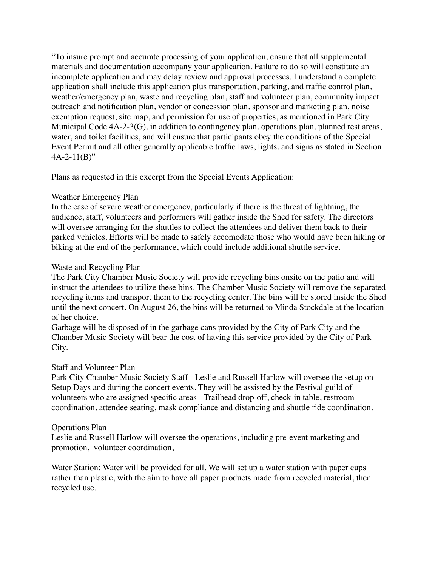"To insure prompt and accurate processing of your application, ensure that all supplemental materials and documentation accompany your application. Failure to do so will constitute an incomplete application and may delay review and approval processes. I understand a complete application shall include this application plus transportation, parking, and traffic control plan, weather/emergency plan, waste and recycling plan, staff and volunteer plan, community impact outreach and notification plan, vendor or concession plan, sponsor and marketing plan, noise exemption request, site map, and permission for use of properties, as mentioned in Park City Municipal Code 4A-2-3(G), in addition to contingency plan, operations plan, planned rest areas, water, and toilet facilities, and will ensure that participants obey the conditions of the Special Event Permit and all other generally applicable traffic laws, lights, and signs as stated in Section  $4A-2-11(B)$ "

Plans as requested in this excerpt from the Special Events Application:

## Weather Emergency Plan

In the case of severe weather emergency, particularly if there is the threat of lightning, the audience, staff, volunteers and performers will gather inside the Shed for safety. The directors will oversee arranging for the shuttles to collect the attendees and deliver them back to their parked vehicles. Efforts will be made to safely accomodate those who would have been hiking or biking at the end of the performance, which could include additional shuttle service.

## Waste and Recycling Plan

The Park City Chamber Music Society will provide recycling bins onsite on the patio and will instruct the attendees to utilize these bins. The Chamber Music Society will remove the separated recycling items and transport them to the recycling center. The bins will be stored inside the Shed until the next concert. On August 26, the bins will be returned to Minda Stockdale at the location of her choice.

Garbage will be disposed of in the garbage cans provided by the City of Park City and the Chamber Music Society will bear the cost of having this service provided by the City of Park City.

### Staff and Volunteer Plan

Park City Chamber Music Society Staff - Leslie and Russell Harlow will oversee the setup on Setup Days and during the concert events. They will be assisted by the Festival guild of volunteers who are assigned specific areas - Trailhead drop-off, check-in table, restroom coordination, attendee seating, mask compliance and distancing and shuttle ride coordination.

### Operations Plan

Leslie and Russell Harlow will oversee the operations, including pre-event marketing and promotion, volunteer coordination,

Water Station: Water will be provided for all. We will set up a water station with paper cups rather than plastic, with the aim to have all paper products made from recycled material, then recycled use.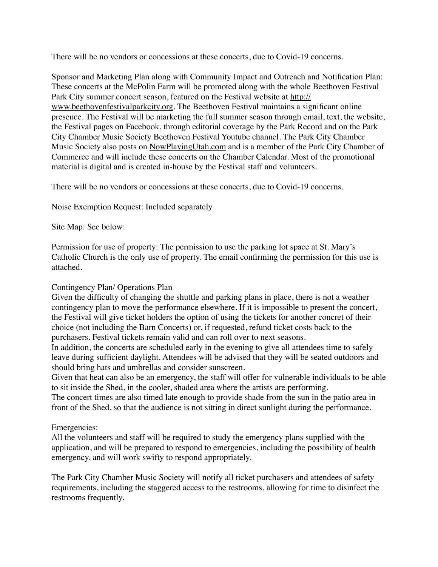There will be no vendors or concessions at these concerts, due to Covid-19 concerns.

Sponsor and Marketing Plan along with Community Impact and Outreach and Notification Plan: These concerts at the McPolin Farm will be promoted along with the whole Beethoven Festival Park City summer concert season, featured on the Festival website at [http://](http://www.beethovenfestivalparkcity.org) [www.beethovenfestivalparkcity.org](http://www.beethovenfestivalparkcity.org). The Beethoven Festival maintains a significant online presence. The Festival will be marketing the full summer season through email, text, the website, the Festival pages on Facebook, through editorial coverage by the Park Record and on the Park City Chamber Music Society Beethoven Festival Youtube channel. The Park City Chamber Music Society also posts on [NowPlayingUtah.com](http://NowPlayingUtah.com) and is a member of the Park City Chamber of Commerce and will include these concerts on the Chamber Calendar. Most of the promotional material is digital and is created in-house by the Festival staff and volunteers.

There will be no vendors or concessions at these concerts, due to Covid-19 concerns.

Noise Exemption Request: Included separately

Site Map: See below:

Permission for use of property: The permission to use the parking lot space at St. Mary's Catholic Church is the only use of property. The email confirming the permission for this use is attached.

## Contingency Plan/ Operations Plan

Given the difficulty of changing the shuttle and parking plans in place, there is not a weather contingency plan to move the performance elsewhere. If it is impossible to present the concert, the Festival will give ticket holders the option of using the tickets for another concret of their choice (not including the Barn Concerts) or, if requested, refund ticket costs back to the purchasers. Festival tickets remain valid and can roll over to next seasons.

In addition, the concerts are scheduled early in the evening to give all attendees time to safely leave during sufficient daylight. Attendees will be advised that they will be seated outdoors and should bring hats and umbrellas and consider sunscreen.

Given that heat can also be an emergency, the staff will offer for vulnerable individuals to be able to sit inside the Shed, in the cooler, shaded area where the artists are performing.

The concert times are also timed late enough to provide shade from the sun in the patio area in front of the Shed, so that the audience is not sitting in direct sunlight during the performance.

# Emergencies:

All the volunteers and staff will be required to study the emergency plans supplied with the application, and will be prepared to respond to emergencies, including the possibility of health emergency, and will work swifty to respond appropriately.

The Park City Chamber Music Society will notify all ticket purchasers and attendees of safety requirements, including the staggered access to the restrooms, allowing for time to disinfect the restrooms frequently.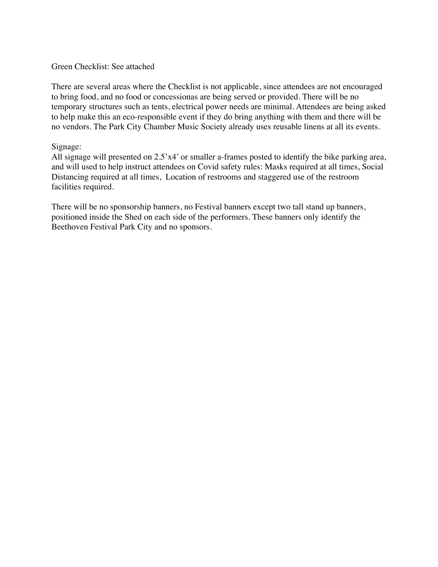### Green Checklist: See attached

There are several areas where the Checklist is not applicable, since attendees are not encouraged to bring food, and no food or concessionas are being served or provided. There will be no temporary structures such as tents, electrical power needs are minimal. Attendees are being asked to help make this an eco-responsible event if they do bring anything with them and there will be no vendors. The Park City Chamber Music Society already uses reusable linens at all its events.

### Signage:

All signage will presented on 2.5'x4' or smaller a-frames posted to identify the bike parking area, and will used to help instruct attendees on Covid safety rules: Masks required at all times, Social Distancing required at all times, Location of restrooms and staggered use of the restroom facilities required.

There will be no sponsorship banners, no Festival banners except two tall stand up banners, positioned inside the Shed on each side of the performers. These banners only identify the Beethoven Festival Park City and no sponsors.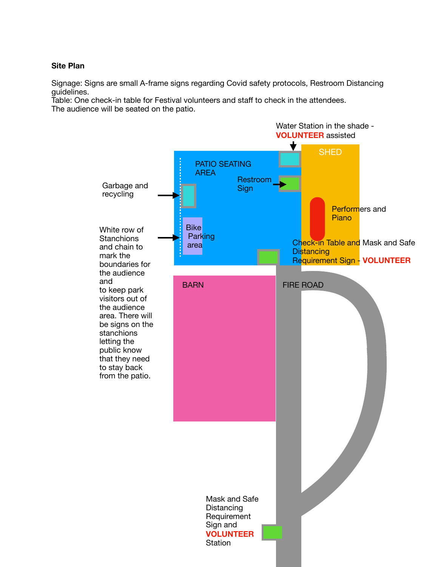### **Site Plan**

Signage: Signs are small A-frame signs regarding Covid safety protocols, Restroom Distancing guidelines.

Table: One check-in table for Festival volunteers and staff to check in the attendees. The audience will be seated on the patio.

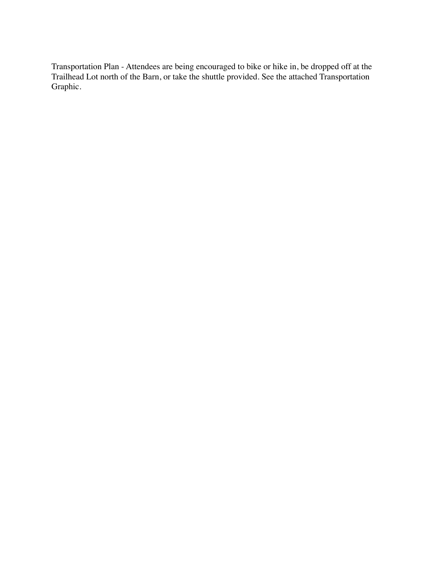Transportation Plan - Attendees are being encouraged to bike or hike in, be dropped off at the Trailhead Lot north of the Barn, or take the shuttle provided. See the attached Transportation Graphic.